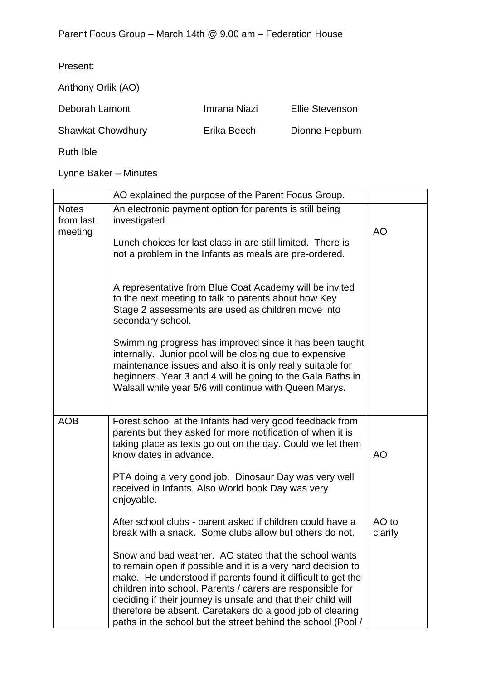| Present:                 |              |                        |
|--------------------------|--------------|------------------------|
| Anthony Orlik (AO)       |              |                        |
| Deborah Lamont           | Imrana Niazi | <b>Ellie Stevenson</b> |
| <b>Shawkat Chowdhury</b> | Erika Beech  | Dionne Hepburn         |
| Ruth Ible                |              |                        |

Lynne Baker – Minutes

|                                      | AO explained the purpose of the Parent Focus Group.                                                                                                                                                                                                                                                                                                                                                                                               |                  |
|--------------------------------------|---------------------------------------------------------------------------------------------------------------------------------------------------------------------------------------------------------------------------------------------------------------------------------------------------------------------------------------------------------------------------------------------------------------------------------------------------|------------------|
| <b>Notes</b><br>from last<br>meeting | An electronic payment option for parents is still being<br>investigated<br>Lunch choices for last class in are still limited. There is<br>not a problem in the Infants as meals are pre-ordered.                                                                                                                                                                                                                                                  | <b>AO</b>        |
|                                      | A representative from Blue Coat Academy will be invited<br>to the next meeting to talk to parents about how Key<br>Stage 2 assessments are used as children move into<br>secondary school.                                                                                                                                                                                                                                                        |                  |
|                                      | Swimming progress has improved since it has been taught<br>internally. Junior pool will be closing due to expensive<br>maintenance issues and also it is only really suitable for<br>beginners. Year 3 and 4 will be going to the Gala Baths in<br>Walsall while year 5/6 will continue with Queen Marys.                                                                                                                                         |                  |
| <b>AOB</b>                           | Forest school at the Infants had very good feedback from<br>parents but they asked for more notification of when it is<br>taking place as texts go out on the day. Could we let them<br>know dates in advance.                                                                                                                                                                                                                                    | AO               |
|                                      | PTA doing a very good job. Dinosaur Day was very well<br>received in Infants. Also World book Day was very<br>enjoyable.                                                                                                                                                                                                                                                                                                                          |                  |
|                                      | After school clubs - parent asked if children could have a<br>break with a snack. Some clubs allow but others do not.                                                                                                                                                                                                                                                                                                                             | AO to<br>clarify |
|                                      | Snow and bad weather. AO stated that the school wants<br>to remain open if possible and it is a very hard decision to<br>make. He understood if parents found it difficult to get the<br>children into school. Parents / carers are responsible for<br>deciding if their journey is unsafe and that their child will<br>therefore be absent. Caretakers do a good job of clearing<br>paths in the school but the street behind the school (Pool / |                  |